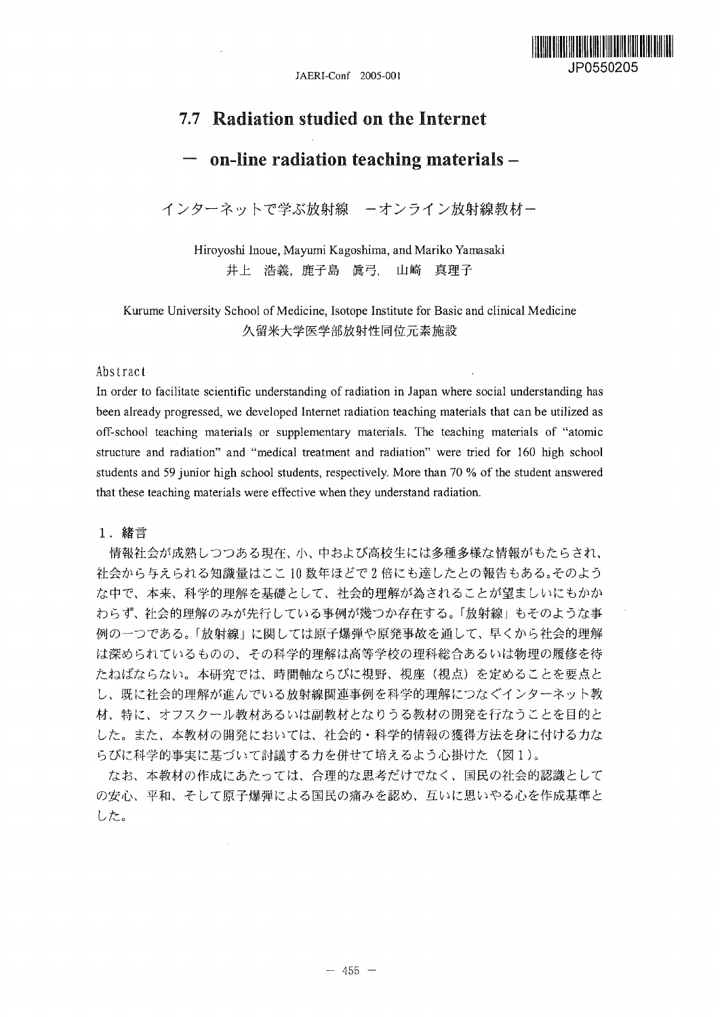

# 7.7 Radiation studied on the Internet

# on-line radiation teaching materials  $-$

インターネットで学ぶ放射線 ーオンライン放射線教材ー

Hiroyoshi Inoue, Mayumi Kagoshima, and Mariko Yamasaki 井上 浩義, 鹿子島 眞弓, 山崎 真理子

Kurume University School of Medicine, Isotope Institute for Basic and clinical Medicine 久留米大学医学部放射性同位元素施設

### Abstract

In order to facilitate scientific understanding of radiation in Japan where social understanding has been already progressed, we developed Internet radiation teaching materials that can be utilized as off-school teaching materials or supplementary materials. The teaching materials of "atomic structure and radiation" and "medical treatment and radiation" were tried for 160 high school students and 59 junior high school students, respectively. More than 70 % of the student answered that these teaching materials were effective when they understand radiation.

1. 緒言

情報社会が成熟しつつある現在、小、中および高校生には多種多様な情報がもたらされ、 社会から与えられる知識量はここ10数年ほどで2倍にも達したとの報告もある。そのよう な中で、本来、科学的理解を基礎として、社会的理解が為されることが望ましいにもかか わらず、社会的理解のみが先行している事例が幾つか存在する。「放射線」もそのような事 例の一つである。「放射線」に関しては原子爆弾や原発事故を通して、早くから社会的理解 は深められているものの、その科学的理解は高等学校の理科総合あるいは物理の履修を待 たねばならない。本研究では、時間軸ならびに視野、視座(視点)を定めることを要点と し、既に社会的理解が進んでいる放射線関連事例を科学的理解につなぐインターネット教 材、特に、オフスクール教材あるいは副教材となりうる教材の開発を行なうことを目的と した。また、本教材の開発においては、社会的・科学的情報の獲得方法を身に付ける力な らびに科学的事実に基づいて討議する力を併せて培えるよう心掛けた(図1)。

なお、本教材の作成にあたっては、合理的な思考だけでなく、国民の社会的認識として の安心、平和、そして原子爆弾による国民の痛みを認め、互いに思いやる心を作成基準と した。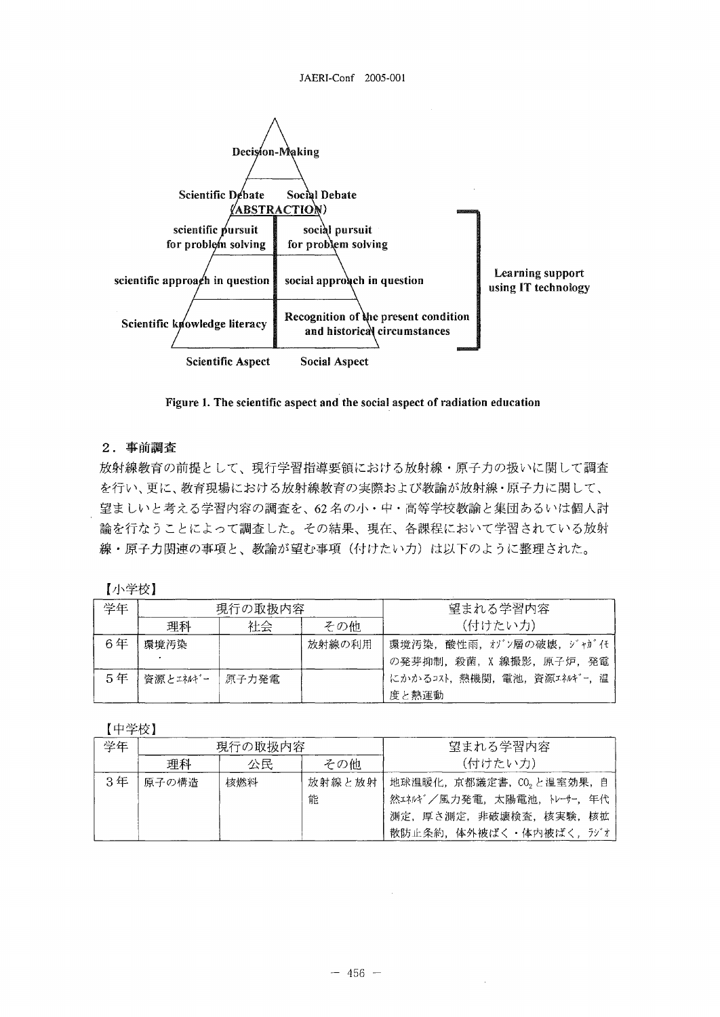

Figure 1. The scientific aspect and the social aspect of radiation education

## 2. 事前調査

放射線教育の前提として、現行学習指導要領における放射線·原子力の扱いに関して調査 を行い、更に、教育現場における放射線教育の実際および教諭が放射線・原子力に関して、 望ましいと考える学習内容の調査を、62名の小·中·高等学校教諭と集団あるいは個人討 論を行なうことによって調査した。その結果、現在、各課程において学習されている放射 線・原子力関連の事項と、教諭が望む事項(付けたい力)は以下のように整理された。

【小学校】

| 学年 | 現行の取扱内容  |       |        | 望まれる学習内容                 |  |
|----|----------|-------|--------|--------------------------|--|
|    | 理科       | 社会    | その他    | (付けたい力)                  |  |
| 6年 | 環境汚染     |       | 放射線の利用 | 環境汚染、酸性雨、オゾン層の破壊、ジャガイモ   |  |
|    |          |       |        | の発芽抑制、殺菌, X 線撮影, 原子炉, 発電 |  |
| 5年 | 資源とエネルギー | 原子力発電 |        | にかかるコスト、熱機関、電池、資源エネルギー、温 |  |
|    |          |       |        | 度と熱運動                    |  |

【中学校】

| 学年 | 現行の取扱内容 |     |        | 望まれる学習内容                 |  |
|----|---------|-----|--------|--------------------------|--|
|    | 理科      | 公民  | その他    | (付けたい力)                  |  |
| 3年 | 原子の構造   | 核燃料 | 放射線と放射 | - 地球温暖化,京都議定書,CO,と温室効果,自 |  |
|    |         |     | 能      | 然エネルギ/風力発電,太陽電池,トレーサー,年代 |  |
|    |         |     |        | 測定、厚さ測定、非破壊検査、核実験、核拡     |  |
|    |         |     |        | 散防止条約,体外被ばく・体内被ばく、ラジオ    |  |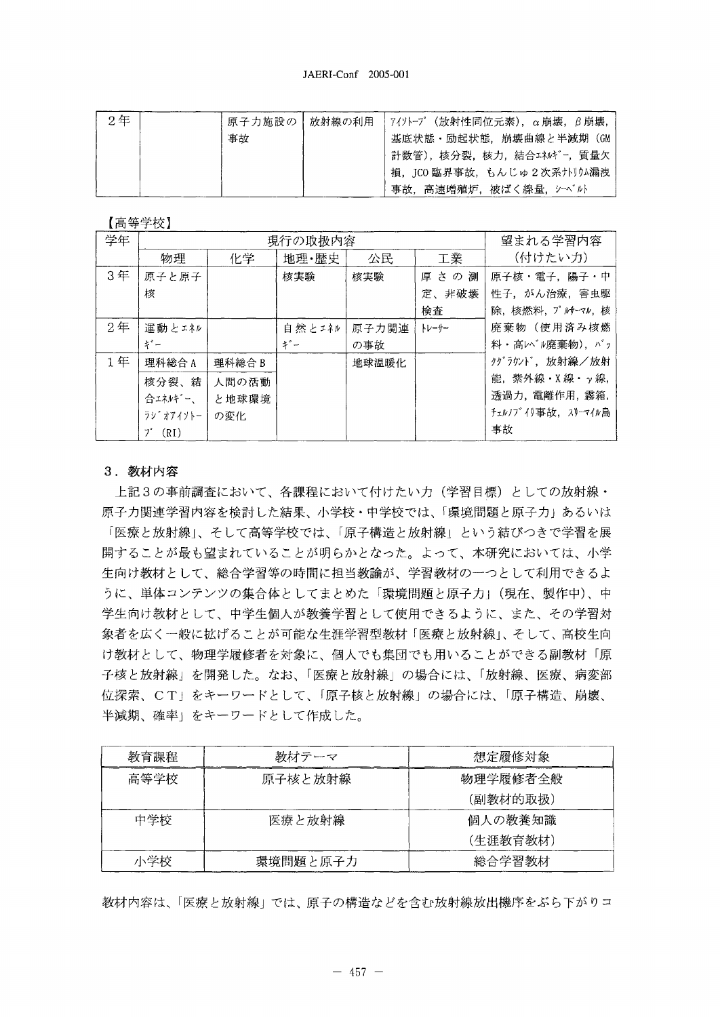| 2年 | 原子力施設の   放射線の利用 | │7イソトープ(放射性同位元素),α崩壊,β崩壊, |
|----|-----------------|---------------------------|
|    | 事故              | 基底状態・励起状態,崩壊曲線と半減期(GM     |
|    |                 | 計数管),核分裂,核力,結合エネルギー,質量欠   |
|    |                 | 損,ICO 臨界事故,もんじゅ2次系ナトリウム漏洩 |
|    |                 | 事故、高速増殖炉、被ばく線量、シーベルト      |

【高等学校】

| 学年             | 現行の取扱内容          |        |        |       | 望まれる学習内容 |                    |
|----------------|------------------|--------|--------|-------|----------|--------------------|
|                | 物理               | 化学     | 地理·歴史  | 公民    | 工業       | (付けたい力)            |
| 3年             | 原子と原子            |        | 核実験    | 核実験   | 厚さの測     | 原子核・電子、陽子・中        |
|                | 核                |        |        |       | 定、非破壊    | 性子、がん治療、害虫駆        |
|                |                  |        |        |       | 検査       | 除,核燃料, プルサーマル, 核   |
| 2 <sup>4</sup> | 運動とエネル           |        | 自然とエネル | 原子力関連 | トレーサー    | 廃棄物(使用済み核燃         |
|                | ギー               |        | $+ -$  | の事故   |          | 料·高レベル廃棄物), バッ     |
| 1年             | 理科総合A            | 理科総合 B |        | 地球温暖化 |          | クグラウンド,放射線/放射      |
|                | 核分裂、結            | 人間の活動  |        |       |          | 能, 紫外線·X線· y線,     |
|                | 合エネルギー、          | と地球環境  |        |       |          | 透過力, 電離作用, 霧箱,     |
|                | ラシ゛オアイソトー        | の変化    |        |       |          | チェルノブイリ事故、 スリーマイル島 |
|                | $7^{\circ}$ (RI) |        |        |       |          | 事故                 |

## 3. 教材内容

上記3の事前調査において、各課程において付けたい力(学習目標)としての放射線· 原子力関連学習内容を検討した結果、小学校・中学校では、「環境問題と原子力」あるいは 「医療と放射線」、そして高等学校では、「原子構造と放射線」という結びつきで学習を展 開することが最も望まれていることが明らかとなった。よって、本研究においては、小学 生向け教材として、総合学習等の時間に担当教論が、学習教材の一つとして利用できるよ うに、単体コンテンツの集合体としてまとめた「環境問題と原子力」(現在、製作中)、中 学生向け教材として、中学生個人が教養学習として使用できるように、また、その学習対 象者を広く一般に拡げることが可能な生涯学習型教材 「医療と放射線」、そして、高校生向 け教材として、物理学履修者を対象に、個人でも集団でも用いることができる副教材「原 子核と放射線」を開発した。なお、「医療と放射線」の場合には、「放射線、医療、病変部 位探索、CT+をキーワードとして、「原子核と放射線」の場合には、「原子構造、崩壊、 半減期、確率」をキーワードとして作成した。

| 教育課程 | 教材テーマ    | 想定履修対象   |  |  |
|------|----------|----------|--|--|
| 高等学校 | 原子核と放射線  | 物理学履修者全般 |  |  |
|      |          | (副教材的取扱) |  |  |
| 中学校  | 医療と放射線   | 個人の教養知識  |  |  |
|      |          | (生涯教育教材) |  |  |
| 小学校  | 環境問題と原子力 | 総合学習教材   |  |  |

教材内容は、「医療と放射線」では、原子の構造などを含む放射線放出機序をぶら下がりコ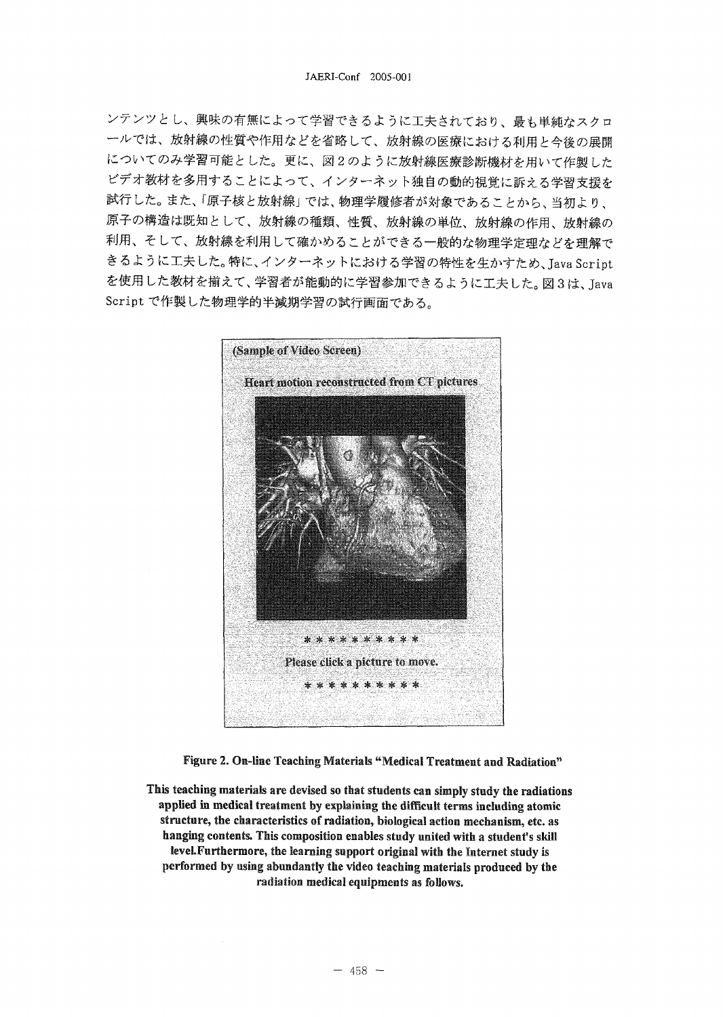ンテンツとし、興味の有無によって学習できるように工夫されており、最も単純なスクロ 一ルでは、放射線の性質や作用などを省略して、放射線の医療における利用と今後の展開 についてのみ学習可能とした。更に、図2のように放射線医療診断機材を用いて作製した ビデオ教材を多用することによって、インターネット独自の動的視覚に訴える学習支援を 試行した。また、「原子核と放射線」では、物理学履修者が対象であることから、当初より、 原子の構造は既知として、放射線の種類、性質、放射線の単位、放射線の作用、放射線の 利用、そして、放射線を利用して確かめることができる一般的な物理学定理などを理解で きるように工夫した。特に、インターネットにおける学習の特性を生かすため、Java Script を使用した教材を揃えて、学習者が能動的に学習参加できるように工夫した。図3は、Java Script で作製した物理学的半減期学習の試行画面である。



Figure 2. On-line Teaching Materials "Medical Treatment and Radiation"

This teaching materials are devised so that students can simply study the radiations applied in medical treatment by explaining the difficult terms including atomic structure, the characteristics of radiation, biological action mechanism, etc. as hanging contents. This composition enables study united with a student's skill level. Furthermore, the learning support original with the Internet study is performed by using abundantly the video teaching materials produced by the radiation medical equipments as follows.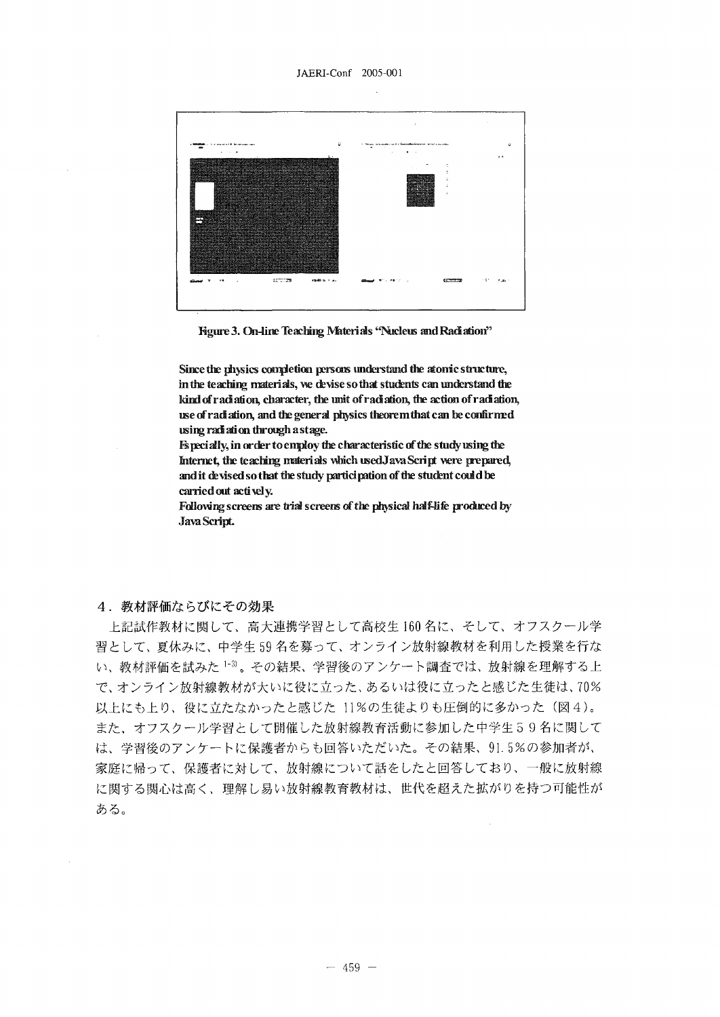#### JAERI-Conf 2005-001



Hgure 3. On-line Teaching Materials "Nucleus and Radiation"

Since the physics completion persore understand the atonic structure, in the teaching materials, we devise so that students can understand the kind of radiation, character, the unit of radiation, the action of radiation, use of radiation, and the general physics tbeoremthat can be confirmed using rad ati on through a stage.

Especially, in order to employ the characteristic of the study using the Internet, the teaching materials which used Java Script were prepared, and it devised so that the study participation of the student could be carried out actively.

Following screens are trial screens of the physical half-life produced by JavaScript

### 4. 教材評価ならびにその効果

上記試作教材に関して、高大連携学習として高校生160名に、そして、オフスクール学 習として、夏休みに、中学生59名を募って、オンライン放射線教材を利用した授業を行な い、教材評価を試みた 1-3)。その結果、学習後のアンケート調査では、放射線を理解する上 で、オンライン放射線教材が大いに役に立った、あるいは役に立ったと感じた生徒は、70% 以上にも上り、役に立たなかったと感じた 11%の生徒よりも圧倒的に多かった (図4)。 また、オフスクール学習として開催した放射線教育活動に参加した中学生59名に関して は、学習後のアンケートに保護者からも回答いただいた。その結果、91.5%の参加者が、 家庭に帰って、保護者に対して、放射線について話をしたと回答しており、一般に放射線 に関する関心は高く、理解し易い放射線教育教材は、世代を超えた拡がりを持つ可能性が ある。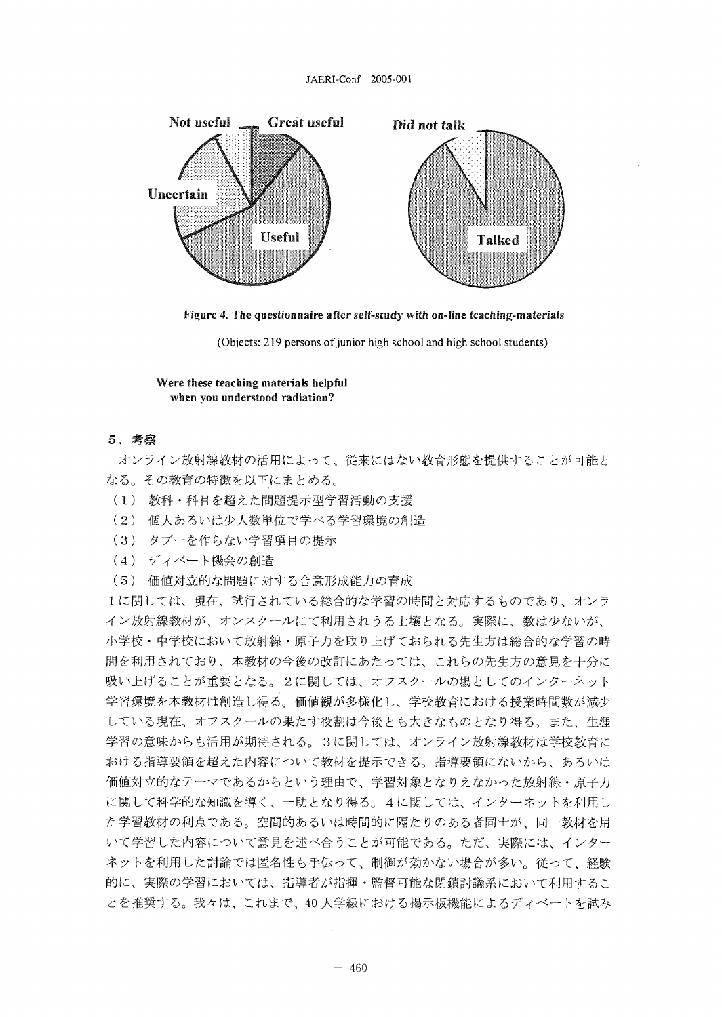#### JAERI-Conf 2005-001



Figure 4. The questionnaire after self-study with on-line teaching-materials

(Objects: 219 persons of junior high school and high school students)

Were these teaching materials helpful when you understood radiation?

5.

オンライン放射線教材の活用によって、従来にはない教育形態を提供することが可能と なる。その教育の特徴を以下にまとめる。

- (1) 教科·科目を超えた問題提示型学習活動の支援
- (2) 個人あるいは少人数単位で学べる学習環境の創造。<br>-<br>-
- (3) タブーを作らない学習項目の提示
- (4) ディベート機会の創造
- (5) 価値対立的な問題に対する合意形成能力の育成

1に関しては、現在、試行されている総合的な学習の時間と対応するものであり、オンラ イン放射線教材が、オンスクールにて利用されうる土壌となる。実際に、数は少ないが、 小学校・中学校において放射線・原子力を取り上げておられる先生方は総合的な学習の時 間を利用されており、本教材の今後の改訂にあたっては、これらの先生方の意見を十分に 吸い上げることが重要となる。2に関しては、オフスクールの場としてのインターネット 学習環境を本教材は創造し得る。価値観が多様化し、学校教育における授業時間数が減少 している現在、オフスクールの果たす役割は今後とも大きなものとなり得る。また、生涯 学習の意味からも活用が期待される。3に関しては、オンライン放射線教材は学校教育に おける指導要領を超えた内容について教材を提示できる。指導要領にないから、あるいは 価値対立的なテーマであるからという理由で、学習対象となりえなかった放射線・原子力 に関して科学的な知識を導く、一助となり得る。4に関しては、インターネットを利用し た学習教材の利点である。空間的あるいは時間的に隔たりのある者同士が、同一教材を用 いて学習した内容について意見を述べ合うことが可能である。ただ、実際には、インター ネットを利用した討論では匿名性も手伝って、制御が効かない場合が多い。従って、経験 的に、実際の学習においては、指導者が指揮・監督可能な閉鎖討議系において利用するこ とを推奨する。我々は、これまで、40 人学級における掲示板機能によるディベートを試み